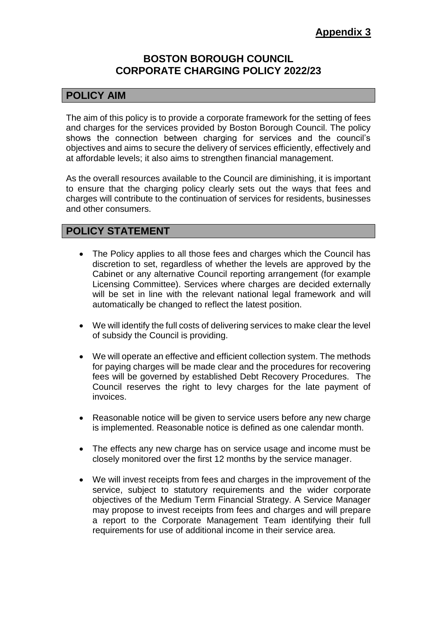# **BOSTON BOROUGH COUNCIL CORPORATE CHARGING POLICY 2022/23**

# **POLICY AIM**

The aim of this policy is to provide a corporate framework for the setting of fees and charges for the services provided by Boston Borough Council. The policy shows the connection between charging for services and the council's objectives and aims to secure the delivery of services efficiently, effectively and at affordable levels; it also aims to strengthen financial management.

As the overall resources available to the Council are diminishing, it is important to ensure that the charging policy clearly sets out the ways that fees and charges will contribute to the continuation of services for residents, businesses and other consumers.

# **POLICY STATEMENT**

- The Policy applies to all those fees and charges which the Council has discretion to set, regardless of whether the levels are approved by the Cabinet or any alternative Council reporting arrangement (for example Licensing Committee). Services where charges are decided externally will be set in line with the relevant national legal framework and will automatically be changed to reflect the latest position.
- We will identify the full costs of delivering services to make clear the level of subsidy the Council is providing.
- We will operate an effective and efficient collection system. The methods for paying charges will be made clear and the procedures for recovering fees will be governed by established Debt Recovery Procedures. The Council reserves the right to levy charges for the late payment of invoices.
- Reasonable notice will be given to service users before any new charge is implemented. Reasonable notice is defined as one calendar month.
- The effects any new charge has on service usage and income must be closely monitored over the first 12 months by the service manager.
- We will invest receipts from fees and charges in the improvement of the service, subject to statutory requirements and the wider corporate objectives of the Medium Term Financial Strategy. A Service Manager may propose to invest receipts from fees and charges and will prepare a report to the Corporate Management Team identifying their full requirements for use of additional income in their service area.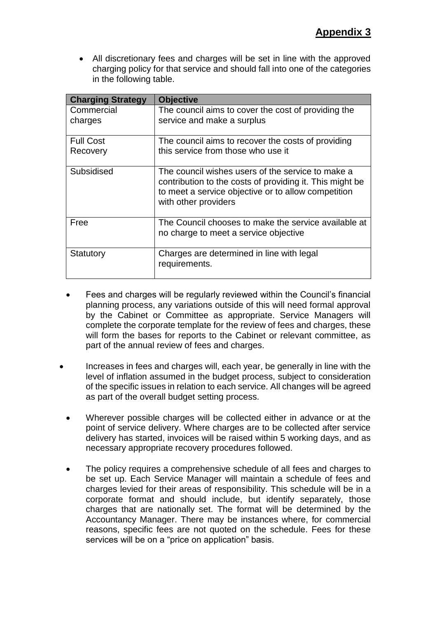All discretionary fees and charges will be set in line with the approved charging policy for that service and should fall into one of the categories in the following table.

| <b>Charging Strategy</b> | <b>Objective</b>                                                                                                                                                                             |
|--------------------------|----------------------------------------------------------------------------------------------------------------------------------------------------------------------------------------------|
| Commercial               | The council aims to cover the cost of providing the                                                                                                                                          |
| charges                  | service and make a surplus                                                                                                                                                                   |
| <b>Full Cost</b>         | The council aims to recover the costs of providing                                                                                                                                           |
| Recovery                 | this service from those who use it                                                                                                                                                           |
| Subsidised               | The council wishes users of the service to make a<br>contribution to the costs of providing it. This might be<br>to meet a service objective or to allow competition<br>with other providers |
| Free                     | The Council chooses to make the service available at<br>no charge to meet a service objective                                                                                                |
| Statutory                | Charges are determined in line with legal<br>requirements.                                                                                                                                   |

- Fees and charges will be regularly reviewed within the Council's financial planning process, any variations outside of this will need formal approval by the Cabinet or Committee as appropriate. Service Managers will complete the corporate template for the review of fees and charges, these will form the bases for reports to the Cabinet or relevant committee, as part of the annual review of fees and charges.
- Increases in fees and charges will, each year, be generally in line with the level of inflation assumed in the budget process, subject to consideration of the specific issues in relation to each service. All changes will be agreed as part of the overall budget setting process.
- Wherever possible charges will be collected either in advance or at the point of service delivery. Where charges are to be collected after service delivery has started, invoices will be raised within 5 working days, and as necessary appropriate recovery procedures followed.
- The policy requires a comprehensive schedule of all fees and charges to be set up. Each Service Manager will maintain a schedule of fees and charges levied for their areas of responsibility. This schedule will be in a corporate format and should include, but identify separately, those charges that are nationally set. The format will be determined by the Accountancy Manager. There may be instances where, for commercial reasons, specific fees are not quoted on the schedule. Fees for these services will be on a "price on application" basis.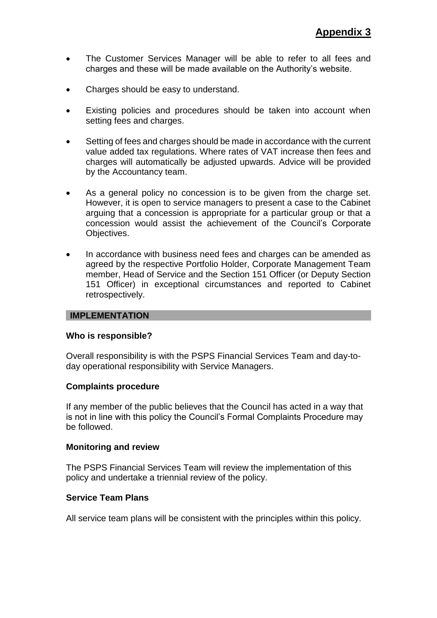- The Customer Services Manager will be able to refer to all fees and charges and these will be made available on the Authority's website.
- Charges should be easy to understand.
- Existing policies and procedures should be taken into account when setting fees and charges.
- Setting of fees and charges should be made in accordance with the current value added tax regulations. Where rates of VAT increase then fees and charges will automatically be adjusted upwards. Advice will be provided by the Accountancy team.
- As a general policy no concession is to be given from the charge set. However, it is open to service managers to present a case to the Cabinet arguing that a concession is appropriate for a particular group or that a concession would assist the achievement of the Council's Corporate Objectives.
- In accordance with business need fees and charges can be amended as agreed by the respective Portfolio Holder, Corporate Management Team member, Head of Service and the Section 151 Officer (or Deputy Section 151 Officer) in exceptional circumstances and reported to Cabinet retrospectively.

### **IMPLEMENTATION**

#### **Who is responsible?**

Overall responsibility is with the PSPS Financial Services Team and day-today operational responsibility with Service Managers.

#### **Complaints procedure**

If any member of the public believes that the Council has acted in a way that is not in line with this policy the Council's Formal Complaints Procedure may be followed.

#### **Monitoring and review**

The PSPS Financial Services Team will review the implementation of this policy and undertake a triennial review of the policy.

### **Service Team Plans**

All service team plans will be consistent with the principles within this policy.